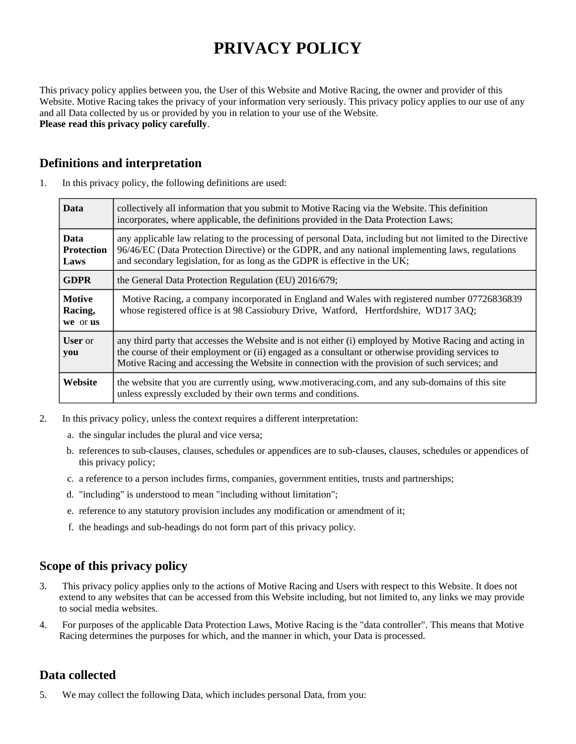# **PRIVACY POLICY**

This privacy policy applies between you, the User of this Website and Motive Racing, the owner and provider of this Website. Motive Racing takes the privacy of your information very seriously. This privacy policy applies to our use of any and all Data collected by us or provided by you in relation to your use of the Website. **Please read this privacy policy carefully**.

## **Definitions and interpretation**

|  |  |  |  | In this privacy policy, the following definitions are used: |
|--|--|--|--|-------------------------------------------------------------|
|--|--|--|--|-------------------------------------------------------------|

| <b>Data</b>                              | collectively all information that you submit to Motive Racing via the Website. This definition<br>incorporates, where applicable, the definitions provided in the Data Protection Laws;                                                                                                                        |  |  |
|------------------------------------------|----------------------------------------------------------------------------------------------------------------------------------------------------------------------------------------------------------------------------------------------------------------------------------------------------------------|--|--|
| <b>Data</b><br><b>Protection</b><br>Laws | any applicable law relating to the processing of personal Data, including but not limited to the Directive<br>96/46/EC (Data Protection Directive) or the GDPR, and any national implementing laws, regulations<br>and secondary legislation, for as long as the GDPR is effective in the UK;                  |  |  |
| <b>GDPR</b>                              | the General Data Protection Regulation (EU) 2016/679;                                                                                                                                                                                                                                                          |  |  |
| <b>Motive</b><br>Racing,<br>we or us     | Motive Racing, a company incorporated in England and Wales with registered number 07726836839<br>whose registered office is at 98 Cassiobury Drive, Watford, Hertfordshire, WD17 3AQ;                                                                                                                          |  |  |
| <b>User</b> or<br>you                    | any third party that accesses the Website and is not either (i) employed by Motive Racing and acting in<br>the course of their employment or (ii) engaged as a consultant or otherwise providing services to<br>Motive Racing and accessing the Website in connection with the provision of such services; and |  |  |
| Website                                  | the website that you are currently using, www.motiveracing.com, and any sub-domains of this site<br>unless expressly excluded by their own terms and conditions.                                                                                                                                               |  |  |

- 2. In this privacy policy, unless the context requires a different interpretation:
	- a. the singular includes the plural and vice versa;
	- b. references to sub-clauses, clauses, schedules or appendices are to sub-clauses, clauses, schedules or appendices of this privacy policy;
	- c. a reference to a person includes firms, companies, government entities, trusts and partnerships;
	- d. "including" is understood to mean "including without limitation";
	- e. reference to any statutory provision includes any modification or amendment of it;
	- f. the headings and sub-headings do not form part of this privacy policy.

## **Scope of this privacy policy**

- 3. This privacy policy applies only to the actions of Motive Racing and Users with respect to this Website. It does not extend to any websites that can be accessed from this Website including, but not limited to, any links we may provide to social media websites.
- 4. For purposes of the applicable Data Protection Laws, Motive Racing is the "data controller". This means that Motive Racing determines the purposes for which, and the manner in which, your Data is processed.

## **Data collected**

5. We may collect the following Data, which includes personal Data, from you: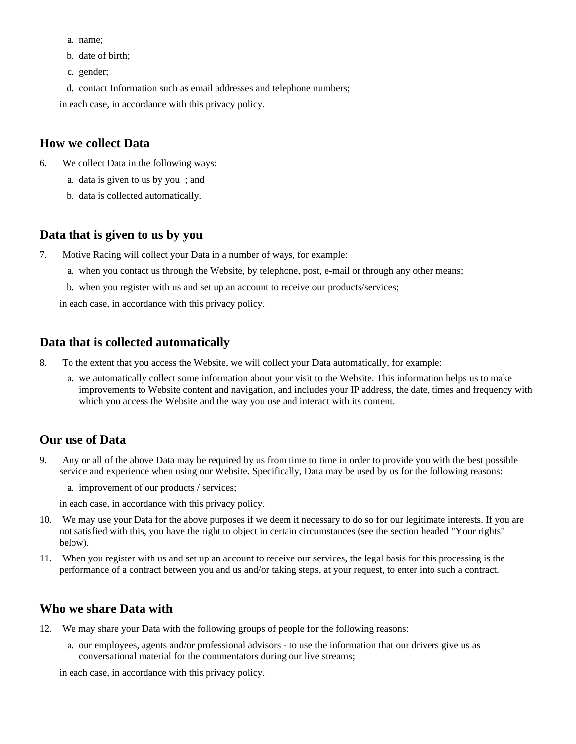- a. name;
- b. date of birth;
- c. gender;
- d. contact Information such as email addresses and telephone numbers;
- in each case, in accordance with this privacy policy.

#### **How we collect Data**

- 6. We collect Data in the following ways:
	- a. data is given to us by you ; and
	- b. data is collected automatically.

## **Data that is given to us by you**

- 7. Motive Racing will collect your Data in a number of ways, for example:
	- a. when you contact us through the Website, by telephone, post, e-mail or through any other means;
	- b. when you register with us and set up an account to receive our products/services;

in each case, in accordance with this privacy policy.

## **Data that is collected automatically**

- 8. To the extent that you access the Website, we will collect your Data automatically, for example:
	- a. we automatically collect some information about your visit to the Website. This information helps us to make improvements to Website content and navigation, and includes your IP address, the date, times and frequency with which you access the Website and the way you use and interact with its content.

## **Our use of Data**

- 9. Any or all of the above Data may be required by us from time to time in order to provide you with the best possible service and experience when using our Website. Specifically, Data may be used by us for the following reasons:
	- a. improvement of our products / services;
	- in each case, in accordance with this privacy policy.
- 10. We may use your Data for the above purposes if we deem it necessary to do so for our legitimate interests. If you are not satisfied with this, you have the right to object in certain circumstances (see the section headed "Your rights" below).
- 11. When you register with us and set up an account to receive our services, the legal basis for this processing is the performance of a contract between you and us and/or taking steps, at your request, to enter into such a contract.

## **Who we share Data with**

- 12. We may share your Data with the following groups of people for the following reasons:
	- a. our employees, agents and/or professional advisors to use the information that our drivers give us as conversational material for the commentators during our live streams;

in each case, in accordance with this privacy policy.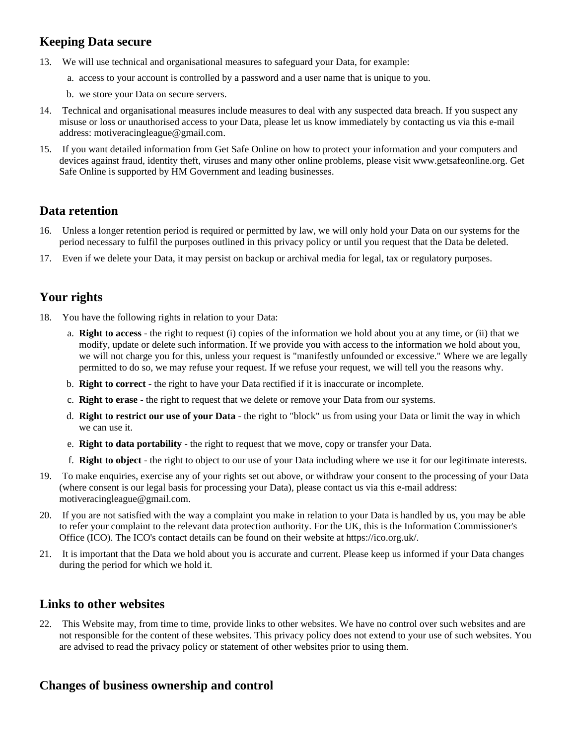## **Keeping Data secure**

- 13. We will use technical and organisational measures to safeguard your Data, for example:
	- a. access to your account is controlled by a password and a user name that is unique to you.
	- b. we store your Data on secure servers.
- 14. Technical and organisational measures include measures to deal with any suspected data breach. If you suspect any misuse or loss or unauthorised access to your Data, please let us know immediately by contacting us via this e-mail address: motiveracingleague@gmail.com.
- 15. If you want detailed information from Get Safe Online on how to protect your information and your computers and devices against fraud, identity theft, viruses and many other online problems, please visit www.getsafeonline.org. Get Safe Online is supported by HM Government and leading businesses.

## **Data retention**

- 16. Unless a longer retention period is required or permitted by law, we will only hold your Data on our systems for the period necessary to fulfil the purposes outlined in this privacy policy or until you request that the Data be deleted.
- 17. Even if we delete your Data, it may persist on backup or archival media for legal, tax or regulatory purposes.

## **Your rights**

- 18. You have the following rights in relation to your Data:
	- a. **Right to access** the right to request (i) copies of the information we hold about you at any time, or (ii) that we modify, update or delete such information. If we provide you with access to the information we hold about you, we will not charge you for this, unless your request is "manifestly unfounded or excessive." Where we are legally permitted to do so, we may refuse your request. If we refuse your request, we will tell you the reasons why.
	- b. **Right to correct** the right to have your Data rectified if it is inaccurate or incomplete.
	- c. **Right to erase** the right to request that we delete or remove your Data from our systems.
	- d. **Right to restrict our use of your Data** the right to "block" us from using your Data or limit the way in which we can use it.
	- e. **Right to data portability** the right to request that we move, copy or transfer your Data.
	- f. **Right to object** the right to object to our use of your Data including where we use it for our legitimate interests.
- 19. To make enquiries, exercise any of your rights set out above, or withdraw your consent to the processing of your Data (where consent is our legal basis for processing your Data), please contact us via this e-mail address: motiveracingleague@gmail.com.
- 20. If you are not satisfied with the way a complaint you make in relation to your Data is handled by us, you may be able to refer your complaint to the relevant data protection authority. For the UK, this is the Information Commissioner's Office (ICO). The ICO's contact details can be found on their website at https://ico.org.uk/.
- 21. It is important that the Data we hold about you is accurate and current. Please keep us informed if your Data changes during the period for which we hold it.

## **Links to other websites**

22. This Website may, from time to time, provide links to other websites. We have no control over such websites and are not responsible for the content of these websites. This privacy policy does not extend to your use of such websites. You are advised to read the privacy policy or statement of other websites prior to using them.

## **Changes of business ownership and control**